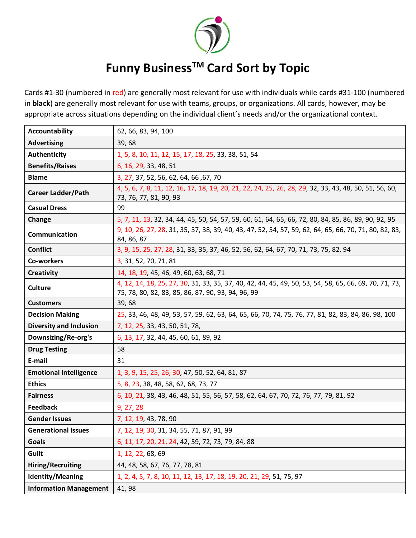

## **Funny BusinessTM Card Sort by Topic**

Cards #1-30 (numbered in red) are generally most relevant for use with individuals while cards #31-100 (numbered in **black**) are generally most relevant for use with teams, groups, or organizations. All cards, however, may be appropriate across situations depending on the individual client's needs and/or the organizational context.

| <b>Accountability</b>          | 62, 66, 83, 94, 100                                                                                                                                          |
|--------------------------------|--------------------------------------------------------------------------------------------------------------------------------------------------------------|
| <b>Advertising</b>             | 39,68                                                                                                                                                        |
| <b>Authenticity</b>            | 1, 5, 8, 10, 11, 12, 15, 17, 18, 25, 33, 38, 51, 54                                                                                                          |
| <b>Benefits/Raises</b>         | 6, 16, 29, 33, 48, 51                                                                                                                                        |
| <b>Blame</b>                   | 3, 27, 37, 52, 56, 62, 64, 66, 67, 70                                                                                                                        |
| <b>Career Ladder/Path</b>      | 4, 5, 6, 7, 8, 11, 12, 16, 17, 18, 19, 20, 21, 22, 24, 25, 26, 28, 29, 32, 33, 43, 48, 50, 51, 56, 60,<br>73, 76, 77, 81, 90, 93                             |
| <b>Casual Dress</b>            | 99                                                                                                                                                           |
| Change                         | 5, 7, 11, 13, 32, 34, 44, 45, 50, 54, 57, 59, 60, 61, 64, 65, 66, 72, 80, 84, 85, 86, 89, 90, 92, 95                                                         |
| Communication                  | 9, 10, 26, 27, 28, 31, 35, 37, 38, 39, 40, 43, 47, 52, 54, 57, 59, 62, 64, 65, 66, 70, 71, 80, 82, 83,<br>84, 86, 87                                         |
| <b>Conflict</b>                | 3, 9, 15, 25, 27, 28, 31, 33, 35, 37, 46, 52, 56, 62, 64, 67, 70, 71, 73, 75, 82, 94                                                                         |
| Co-workers                     | 3, 31, 52, 70, 71, 81                                                                                                                                        |
| <b>Creativity</b>              | 14, 18, 19, 45, 46, 49, 60, 63, 68, 71                                                                                                                       |
| <b>Culture</b>                 | 4, 12, 14, 18, 25, 27, 30, 31, 33, 35, 37, 40, 42, 44, 45, 49, 50, 53, 54, 58, 65, 66, 69, 70, 71, 73,<br>75, 78, 80, 82, 83, 85, 86, 87, 90, 93, 94, 96, 99 |
| <b>Customers</b>               | 39,68                                                                                                                                                        |
| <b>Decision Making</b>         | 25, 33, 46, 48, 49, 53, 57, 59, 62, 63, 64, 65, 66, 70, 74, 75, 76, 77, 81, 82, 83, 84, 86, 98, 100                                                          |
| <b>Diversity and Inclusion</b> | 7, 12, 25, 33, 43, 50, 51, 78,                                                                                                                               |
| Downsizing/Re-org's            | 6, 13, 17, 32, 44, 45, 60, 61, 89, 92                                                                                                                        |
| <b>Drug Testing</b>            | 58                                                                                                                                                           |
| E-mail                         | 31                                                                                                                                                           |
| <b>Emotional Intelligence</b>  | 1, 3, 9, 15, 25, 26, 30, 47, 50, 52, 64, 81, 87                                                                                                              |
| <b>Ethics</b>                  | 5, 8, 23, 38, 48, 58, 62, 68, 73, 77                                                                                                                         |
| <b>Fairness</b>                | 6, 10, 21, 38, 43, 46, 48, 51, 55, 56, 57, 58, 62, 64, 67, 70, 72, 76, 77, 79, 81, 92                                                                        |
| <b>Feedback</b>                | 9, 27, 28                                                                                                                                                    |
| <b>Gender Issues</b>           | 7, 12, 19, 43, 78, 90                                                                                                                                        |
| <b>Generational Issues</b>     | 7, 12, 19, 30, 31, 34, 55, 71, 87, 91, 99                                                                                                                    |
| <b>Goals</b>                   | 6, 11, 17, 20, 21, 24, 42, 59, 72, 73, 79, 84, 88                                                                                                            |
| Guilt                          | 1, 12, 22, 68, 69                                                                                                                                            |
| <b>Hiring/Recruiting</b>       | 44, 48, 58, 67, 76, 77, 78, 81                                                                                                                               |
| Identity/Meaning               | 1, 2, 4, 5, 7, 8, 10, 11, 12, 13, 17, 18, 19, 20, 21, 29, 51, 75, 97                                                                                         |
| <b>Information Management</b>  | 41, 98                                                                                                                                                       |